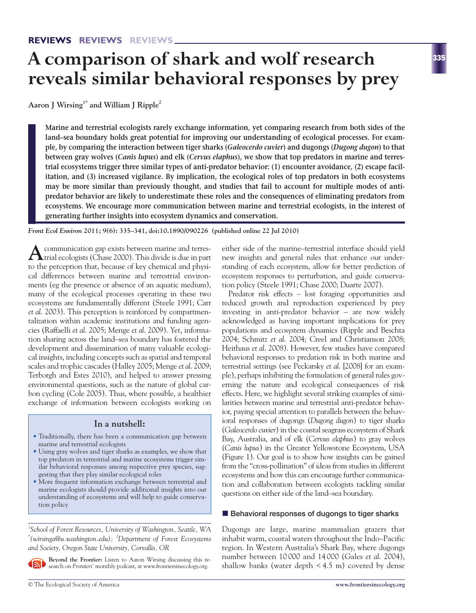# **A comparison of shark and wolf research reveals similar behavioral responses by prey**

**Aaron J Wirsing1\* and William J Ripple2**

**Marine and terrestrial ecologists rarely exchange information, yet comparing research from both sides of the land–sea boundary holds great potential for improving our understanding of ecological processes. For example, by comparing the interaction between tiger sharks (***Galeocerdo cuvier***) and dugongs (***Dugong dugon***) to that between gray wolves (***Canis lupus***) and elk (***Cervus elaphus***), we show that top predators in marine and terrestrial ecosystems trigger three similar types of anti-predator behavior: (1) encounter avoidance, (2) escape facilitation, and (3) increased vigilance. By implication, the ecological roles of top predators in both ecosystems may be more similar than previously thought, and studies that fail to account for multiple modes of antipredator behavior are likely to underestimate these roles and the consequences of eliminating predators from ecosystems. We encourage more communication between marine and terrestrial ecologists, in the interest of generating further insights into ecosystem dynamics and conservation.** 

*Front Ecol Environ* **2011; 9(6): 335–341, doi:10.1890/090226 (published online 22 Jul 2010)**

**A**communication gap exists between marine and terres-trial ecologists (Chase 2000). This divide is due in part to the perception that, because of key chemical and physical differences between marine and terrestrial environments (eg the presence or absence of an aquatic medium), many of the ecological processes operating in these two ecosystems are fundamentally different (Steele 1991; Carr *et al*. 2003). This perception is reinforced by compartmentalization within academic institutions and funding agencies (Raffaelli *et al*. 2005; Menge *et al*. 2009). Yet, information sharing across the land–sea boundary has fostered the development and dissemination of many valuable ecological insights, including concepts such as spatial and temporal scales and trophic cascades (Halley 2005; Menge *et al*. 2009; Terborgh and Estes 2010), and helped to answer pressing environmental questions, such as the nature of global carbon cycling (Cole 2005). Thus, where possible, a healthier exchange of information between ecologists working on

# **In a nutshell:**

- Traditionally, there has been a communication gap between marine and terrestrial ecologists
- Using gray wolves and tiger sharks as examples, we show that top predators in terrestrial and marine ecosystems trigger similar behavioral responses among respective prey species, suggesting that they play similar ecological roles
- More frequent information exchange between terrestrial and marine ecologists should provide additional insights into our understanding of ecosystems and will help to guide conservation policy

*1 School of Forest Resources, University of Washington, Seattle, WA \* (wirsinga@u.washington.edu); <sup>2</sup> Department of Forest Ecosystems and Society, Oregon State University, Corvallis, OR*

**Beyond the Frontier:** Listen to Aaron Wirsing discussing this research on *Frontiers'* monthly podcast, at www.frontiersinecology.org.

either side of the marine–terrestrial interface should yield new insights and general rules that enhance our understanding of each ecosystem, allow for better prediction of ecosystem responses to perturbation, and guide conservation policy (Steele 1991; Chase 2000; Duarte 2007).

Predator risk effects – lost foraging opportunities and reduced growth and reproduction experienced by prey investing in anti-predator behavior – are now widely acknowledged as having important implications for prey populations and ecosystem dynamics (Ripple and Beschta 2004; Schmitz *et al*. 2004; Creel and Christianson 2008; Heithaus *et al*. 2008). However, few studies have compared behavioral responses to predation risk in both marine and terrestrial settings (see Peckarsky *et al*. [2008] for an example), perhaps inhibiting the formulation of general rules governing the nature and ecological consequences of risk effects. Here, we highlight several striking examples of similarities between marine and terrestrial anti-predator behavior, paying special attention to parallels between the behavioral responses of dugongs (*Dugong dugon*) to tiger sharks (*Galeocerdo cuvier*) in the coastal seagrass ecosystem of Shark Bay, Australia, and of elk (*Cervus elaphus*) to gray wolves (*Canis lupus*) in the Greater Yellowstone Ecosystem, USA (Figure 1). Our goal is to show how insights can be gained from the "cross-pollination" of ideas from studies in different ecosystems and how this can encourage further communication and collaboration between ecologists tackling similar questions on either side of the land–sea boundary.

### ■ Behavioral responses of dugongs to tiger sharks

Dugongs are large, marine mammalian grazers that inhabit warm, coastal waters throughout the Indo–Pacific region. In Western Australia's Shark Bay, where dugongs number between 10 000 and 14 000 (Gales *et al*. 2004), shallow banks (water depth  $\leq$  4.5 m) covered by dense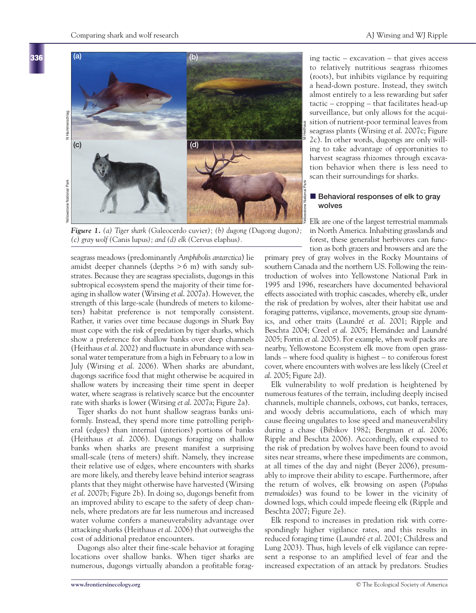



*Figure 1. (a) Tiger shark (*Galeocerdo cuvier*); (b) dugong (*Dugong dugon*); (c) gray wolf (*Canis lupus*); and (d) elk (*Cervus elaphus*).*

ing tactic – excavation – that gives access to relatively nutritious seagrass rhizomes (roots), but inhibits vigilance by requiring a head-down posture. Instead, they switch almost entirely to a less rewarding but safer tactic – cropping – that facilitates head-up surveillance, but only allows for the acquisition of nutrient-poor terminal leaves from seagrass plants (Wirsing *et al*. 2007c; Figure 2c). In other words, dugongs are only willing to take advantage of opportunities to harvest seagrass rhizomes through excavation behavior when there is less need to scan their surroundings for sharks.

## **Behavioral responses of elk to gray wolves**

Elk are one of the largest terrestrial mammals in North America. Inhabiting grasslands and forest, these generalist herbivores can function as both grazers and browsers and are the

seagrass meadows (predominantly *Amphibolis antarctica*) lie amidst deeper channels (depths > 6 m) with sandy substrates. Because they are seagrass specialists, dugongs in this subtropical ecosystem spend the majority of their time foraging in shallow water (Wirsing *et al*. 2007a). However, the strength of this large-scale (hundreds of meters to kilometers) habitat preference is not temporally consistent. Rather, it varies over time because dugongs in Shark Bay must cope with the risk of predation by tiger sharks, which show a preference for shallow banks over deep channels (Heithaus *et al*. 2002) and fluctuate in abundance with seasonal water temperature from a high in February to a low in July (Wirsing *et al*. 2006). When sharks are abundant, dugongs sacrifice food that might otherwise be acquired in shallow waters by increasing their time spent in deeper water, where seagrass is relatively scarce but the encounter rate with sharks is lower (Wirsing *et al*. 2007a; Figure 2a).

Tiger sharks do not hunt shallow seagrass banks uniformly. Instead, they spend more time patrolling peripheral (edges) than internal (interiors) portions of banks (Heithaus *et al*. 2006). Dugongs foraging on shallow banks when sharks are present manifest a surprising small-scale (tens of meters) shift. Namely, they increase their relative use of edges, where encounters with sharks are more likely, and thereby leave behind interior seagrass plants that they might otherwise have harvested (Wirsing *et al*. 2007b; Figure 2b). In doing so, dugongs benefit from an improved ability to escape to the safety of deep channels, where predators are far less numerous and increased water volume confers a maneuverability advantage over attacking sharks (Heithaus *et al*. 2006) that outweighs the cost of additional predator encounters.

Dugongs also alter their fine-scale behavior at foraging locations over shallow banks. When tiger sharks are numerous, dugongs virtually abandon a profitable foragprimary prey of gray wolves in the Rocky Mountains of southern Canada and the northern US. Following the reintroduction of wolves into Yellowstone National Park in 1995 and 1996, researchers have documented behavioral effects associated with trophic cascades, whereby elk, under the risk of predation by wolves, alter their habitat use and foraging patterns, vigilance, movements, group size dynamics, and other traits (Laundré *et al*. 2001; Ripple and Beschta 2004; Creel *et al*. 2005; Hernández and Laundré 2005; Fortin *et al*. 2005). For example, when wolf packs are nearby, Yellowstone Ecosystem elk move from open grasslands – where food quality is highest – to coniferous forest cover, where encounters with wolves are less likely (Creel *et al*. 2005; Figure 2d).

Elk vulnerability to wolf predation is heightened by numerous features of the terrain, including deeply incised channels, multiple channels, oxbows, cut banks, terraces, and woody debris accumulations, each of which may cause fleeing ungulates to lose speed and maneuverability during a chase (Bibikov 1982; Bergman *et al*. 2006; Ripple and Beschta 2006). Accordingly, elk exposed to the risk of predation by wolves have been found to avoid sites near streams, where these impediments are common, at all times of the day and night (Beyer 2006), presumably to improve their ability to escape. Furthermore, after the return of wolves, elk browsing on aspen (*Populus tremuloides*) was found to be lower in the vicinity of downed logs, which could impede fleeing elk (Ripple and Beschta 2007; Figure 2e).

Elk respond to increases in predation risk with correspondingly higher vigilance rates, and this results in reduced foraging time (Laundré *et al*. 2001; Childress and Lung 2003). Thus, high levels of elk vigilance can represent a response to an amplified level of fear and the increased expectation of an attack by predators. Studies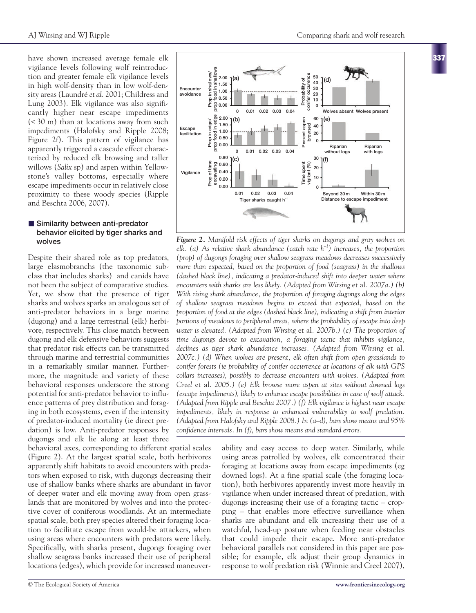have shown increased average female elk vigilance levels following wolf reintroduction and greater female elk vigilance levels in high wolf-density than in low wolf-density areas (Laundré *et al*. 2001; Childress and Lung 2003). Elk vigilance was also significantly higher near escape impediments (< 30 m) than at locations away from such impediments (Halofsky and Ripple 2008; Figure 2f). This pattern of vigilance has apparently triggered a cascade effect characterized by reduced elk browsing and taller willows (*Salix* sp) and aspen within Yellowstone's valley bottoms, especially where escape impediments occur in relatively close proximity to these woody species (Ripple and Beschta 2006, 2007).

# ■ Similarity between anti-predator **behavior elicited by tiger sharks and wolves**

Despite their shared role as top predators, large elasmobranchs (the taxonomic subclass that includes sharks) and canids have not been the subject of comparative studies. Yet, we show that the presence of tiger sharks and wolves sparks an analogous set of anti-predator behaviors in a large marine (dugong) and a large terrestrial (elk) herbivore, respectively. This close match between dugong and elk defensive behaviors suggests that predator risk effects can be transmitted through marine and terrestrial communities in a remarkably similar manner. Furthermore, the magnitude and variety of these behavioral responses underscore the strong potential for anti-predator behavior to influence patterns of prey distribution and foraging in both ecosystems, even if the intensity of predator-induced mortality (ie direct predation) is low. Anti-predator responses by dugongs and elk lie along at least three

behavioral axes, corresponding to different spatial scales (Figure 2). At the largest spatial scale, both herbivores apparently shift habitats to avoid encounters with predators when exposed to risk, with dugongs decreasing their use of shallow banks where sharks are abundant in favor of deeper water and elk moving away from open grasslands that are monitored by wolves and into the protective cover of coniferous woodlands. At an intermediate spatial scale, both prey species altered their foraging location to facilitate escape from would-be attackers, when using areas where encounters with predators were likely. Specifically, with sharks present, dugongs foraging over shallow seagrass banks increased their use of peripheral locations (edges), which provide for increased maneuver-



*Figure 2. Manifold risk effects of tiger sharks on dugongs and gray wolves on elk. (a) As relative shark abundance (catch rate h–1) increases, the proportion (prop) of dugongs foraging over shallow seagrass meadows decreases successively more than expected, based on the proportion of food (seagrass) in the shallows (dashed black line), indicating a predator-induced shift into deeper water where encounters with sharks are less likely. (Adapted from Wirsing et al. 2007a.) (b) With rising shark abundance, the proportion of foraging dugongs along the edges of shallow seagrass meadows begins to exceed that expected, based on the proportion of food at the edges (dashed black line), indicating a shift from interior portions of meadows to peripheral areas, where the probability of escape into deep water is elevated. (Adapted from Wirsing* et al*. 2007b.) (c) The proportion of time dugongs devote to excavation, a foraging tactic that inhibits vigilance, declines as tiger shark abundance increases. (Adapted from Wirsing* et al*. 2007c.) (d) When wolves are present, elk often shift from open grasslands to conifer forests (ie probability of conifer occurrence at locations of elk with GPS collars increases), possibly to decrease encounters with wolves. (Adapted from Creel* et al. *2005.) (e) Elk browse more aspen at sites without downed logs (escape impediments), likely to enhance escape possibilities in case of wolf attack. (Adapted from Ripple and Beschta 2007.) (f) Elk vigilance is highest near escape impediments, likely in response to enhanced vulnerability to wolf predation. (Adapted from Halofsky and Ripple 2008.) In (a–d), bars show means and 95% confidence intervals. In (f), bars show means and standard errors.*

ability and easy access to deep water. Similarly, while using areas patrolled by wolves, elk concentrated their foraging at locations away from escape impediments (eg downed logs). At a fine spatial scale (the foraging location), both herbivores apparently invest more heavily in vigilance when under increased threat of predation, with dugongs increasing their use of a foraging tactic – cropping – that enables more effective surveillance when sharks are abundant and elk increasing their use of a watchful, head-up posture when feeding near obstacles that could impede their escape. More anti-predator behavioral parallels not considered in this paper are possible; for example, elk adjust their group dynamics in response to wolf predation risk (Winnie and Creel 2007),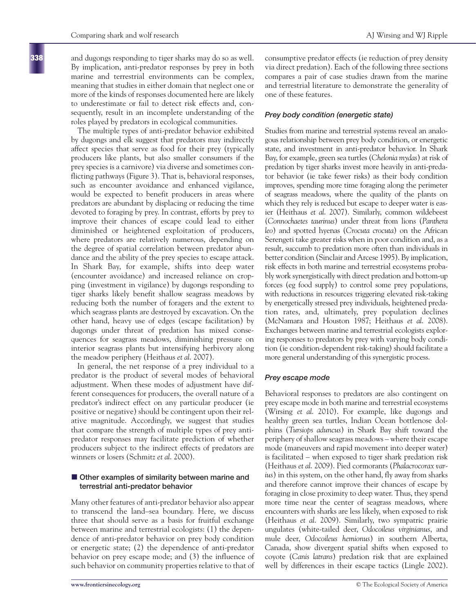and dugongs responding to tiger sharks may do so as well. By implication, anti-predator responses by prey in both marine and terrestrial environments can be complex, meaning that studies in either domain that neglect one or more of the kinds of responses documented here are likely to underestimate or fail to detect risk effects and, consequently, result in an incomplete understanding of the roles played by predators in ecological communities.

The multiple types of anti-predator behavior exhibited by dugongs and elk suggest that predators may indirectly affect species that serve as food for their prey (typically producers like plants, but also smaller consumers if the prey species is a carnivore) via diverse and sometimes conflicting pathways (Figure 3). That is, behavioral responses, such as encounter avoidance and enhanced vigilance, would be expected to benefit producers in areas where predators are abundant by displacing or reducing the time devoted to foraging by prey. In contrast, efforts by prey to improve their chances of escape could lead to either diminished or heightened exploitation of producers, where predators are relatively numerous, depending on the degree of spatial correlation between predator abundance and the ability of the prey species to escape attack. In Shark Bay, for example, shifts into deep water (encounter avoidance) and increased reliance on cropping (investment in vigilance) by dugongs responding to tiger sharks likely benefit shallow seagrass meadows by reducing both the number of foragers and the extent to which seagrass plants are destroyed by excavation. On the other hand, heavy use of edges (escape facilitation) by dugongs under threat of predation has mixed consequences for seagrass meadows, diminishing pressure on interior seagrass plants but intensifying herbivory along the meadow periphery (Heithaus *et al*. 2007).

In general, the net response of a prey individual to a predator is the product of several modes of behavioral adjustment. When these modes of adjustment have different consequences for producers, the overall nature of a predator's indirect effect on any particular producer (ie positive or negative) should be contingent upon their relative magnitude. Accordingly, we suggest that studies that compare the strength of multiple types of prey antipredator responses may facilitate prediction of whether producers subject to the indirect effects of predators are winners or losers (Schmitz *et al*. 2000).

#### $\blacksquare$  Other examples of similarity between marine and **terrestrial anti-predator behavior**

Many other features of anti-predator behavior also appear to transcend the land–sea boundary. Here, we discuss three that should serve as a basis for fruitful exchange between marine and terrestrial ecologists: (1) the dependence of anti-predator behavior on prey body condition or energetic state; (2) the dependence of anti-predator behavior on prey escape mode; and (3) the influence of such behavior on community properties relative to that of consumptive predator effects (ie reduction of prey density via direct predation). Each of the following three sections compares a pair of case studies drawn from the marine and terrestrial literature to demonstrate the generality of one of these features.

#### *Prey body condition (energetic state)*

Studies from marine and terrestrial systems reveal an analogous relationship between prey body condition, or energetic state, and investment in anti-predator behavior. In Shark Bay, for example, green sea turtles (*Chelonia mydas*) at risk of predation by tiger sharks invest more heavily in anti-predator behavior (ie take fewer risks) as their body condition improves, spending more time foraging along the perimeter of seagrass meadows, where the quality of the plants on which they rely is reduced but escape to deeper water is easier (Heithaus *et al*. 2007). Similarly, common wildebeest (*Connochaetes taurinus*) under threat from lions (*Panthera leo*) and spotted hyenas (*Crocuta crocuta*) on the African Serengeti take greater risks when in poor condition and, as a result, succumb to predation more often than individuals in better condition (Sinclair and Arcese 1995). By implication, risk effects in both marine and terrestrial ecosystems probably work synergistically with direct predation and bottom-up forces (eg food supply) to control some prey populations, with reductions in resources triggering elevated risk-taking by energetically stressed prey individuals, heightened predation rates, and, ultimately, prey population declines (McNamara and Houston 1987; Heithaus *et al*. 2008). Exchanges between marine and terrestrial ecologists exploring responses to predators by prey with varying body condition (ie condition-dependent risk-taking) should facilitate a more general understanding of this synergistic process.

#### *Prey escape mode*

Behavioral responses to predators are also contingent on prey escape mode in both marine and terrestrial ecosystems (Wirsing *et al*. 2010). For example, like dugongs and healthy green sea turtles, Indian Ocean bottlenose dolphins (*Tursiops aduncus*) in Shark Bay shift toward the periphery of shallow seagrass meadows – where their escape mode (maneuvers and rapid movement into deeper water) is facilitated – when exposed to tiger shark predation risk (Heithaus *et al*. 2009). Pied cormorants (*Phalacrocorax varius*) in this system, on the other hand, fly away from sharks and therefore cannot improve their chances of escape by foraging in close proximity to deep water. Thus, they spend more time near the center of seagrass meadows, where encounters with sharks are less likely, when exposed to risk (Heithaus *et al*. 2009). Similarly, two sympatric prairie ungulates (white-tailed deer, *Odocoileus virginianus*, and mule deer, *Odocoileus hemionus*) in southern Alberta, Canada, show divergent spatial shifts when exposed to coyote (*Canis latrans*) predation risk that are explained well by differences in their escape tactics (Lingle 2002).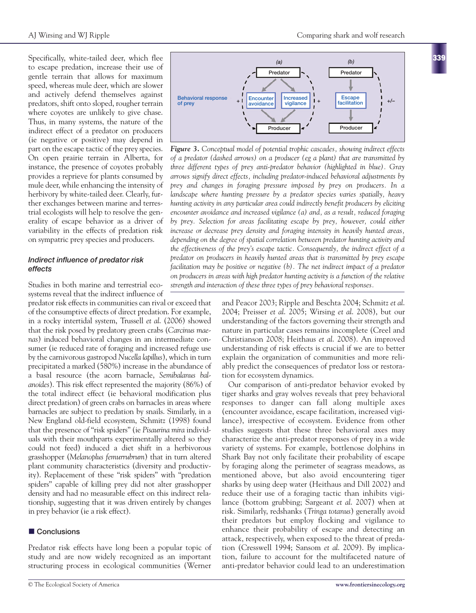Specifically, white-tailed deer, which flee to escape predation, increase their use of gentle terrain that allows for maximum speed, whereas mule deer, which are slower and actively defend themselves against predators, shift onto sloped, rougher terrain where covotes are unlikely to give chase. Thus, in many systems, the nature of the indirect effect of a predator on producers (ie negative or positive) may depend in part on the escape tactic of the prey species. On open prairie terrain in Alberta, for instance, the presence of coyotes probably provides a reprieve for plants consumed by mule deer, while enhancing the intensity of herbivory by white-tailed deer. Clearly, further exchanges between marine and terrestrial ecologists will help to resolve the generality of escape behavior as a driver of variability in the effects of predation risk on sympatric prey species and producers.

# *Indirect influence of predator risk effects*

Studies in both marine and terrestrial ecosystems reveal that the indirect influence of

predator risk effects in communities can rival or exceed that of the consumptive effects of direct predation. For example, in a rocky intertidal system, Trussell *et al*. (2006) showed that the risk posed by predatory green crabs (*Carcinus maenas*) induced behavioral changes in an intermediate consumer (ie reduced rate of foraging and increased refuge use by the carnivorous gastropod *Nucella lapillus*), which in turn precipitated a marked (580%) increase in the abundance of a basal resource (the acorn barnacle, *Semibalanus balanoides*). This risk effect represented the majority (86%) of the total indirect effect (ie behavioral modification plus direct predation) of green crabs on barnacles in areas where barnacles are subject to predation by snails. Similarly, in a New England old-field ecosystem, Schmitz (1998) found that the presence of "risk spiders" (ie *Pisaurina mira* individuals with their mouthparts experimentally altered so they could not feed) induced a diet shift in a herbivorous grasshopper (*Melanoplus femurrubrum*) that in turn altered plant community characteristics (diversity and productivity). Replacement of these "risk spiders" with "predation spiders" capable of killing prey did not alter grasshopper density and had no measurable effect on this indirect relationship, suggesting that it was driven entirely by changes in prey behavior (ie a risk effect).

# **n** Conclusions

Predator risk effects have long been a popular topic of study and are now widely recognized as an important structuring process in ecological communities (Werner

**339**



*Figure 3. Conceptual model of potential trophic cascades, showing indirect effects of a predator (dashed arrows) on a producer (eg a plant) that are transmitted by three different types of prey anti-predator behavior (highlighted in blue). Gray arrows signify direct effects, including predator-induced behavioral adjustments by prey and changes in foraging pressure imposed by prey on producers. In a landscape where hunting pressure by a predator species varies spatially, heavy hunting activity in any particular area could indirectly benefit producers by eliciting encounter avoidance and increased vigilance (a) and, as a result, reduced foraging by prey. Selection for areas facilitating escape by prey, however, could either increase or decrease prey density and foraging intensity in heavily hunted areas, depending on the degree of spatial correlation between predator hunting activity and the effectiveness of the prey's escape tactic. Consequently, the indirect effect of a predator on producers in heavily hunted areas that is transmitted by prey escape facilitation may be positive or negative (b). The net indirect impact of a predator on producers in areas with high predator hunting activity is a function of the relative strength and interaction of these three types of prey behavioral responses.*

> and Peacor 2003; Ripple and Beschta 2004; Schmitz *et al*. 2004; Preisser *et al*. 2005; Wirsing *et al*. 2008), but our understanding of the factors governing their strength and nature in particular cases remains incomplete (Creel and Christianson 2008; Heithaus *et al*. 2008). An improved understanding of risk effects is crucial if we are to better explain the organization of communities and more reliably predict the consequences of predator loss or restoration for ecosystem dynamics.

> Our comparison of anti-predator behavior evoked by tiger sharks and gray wolves reveals that prey behavioral responses to danger can fall along multiple axes (encounter avoidance, escape facilitation, increased vigilance), irrespective of ecosystem. Evidence from other studies suggests that these three behavioral axes may characterize the anti-predator responses of prey in a wide variety of systems. For example, bottlenose dolphins in Shark Bay not only facilitate their probability of escape by foraging along the perimeter of seagrass meadows, as mentioned above, but also avoid encountering tiger sharks by using deep water (Heithaus and Dill 2002) and reduce their use of a foraging tactic than inhibits vigilance (bottom grubbing; Sargeant *et al*. 2007) when at risk. Similarly, redshanks (*Tringa totanus*) generally avoid their predators but employ flocking and vigilance to enhance their probability of escape and detecting an attack, respectively, when exposed to the threat of predation (Cresswell 1994; Sansom *et al*. 2009). By implication, failure to account for the multifaceted nature of anti-predator behavior could lead to an underestimation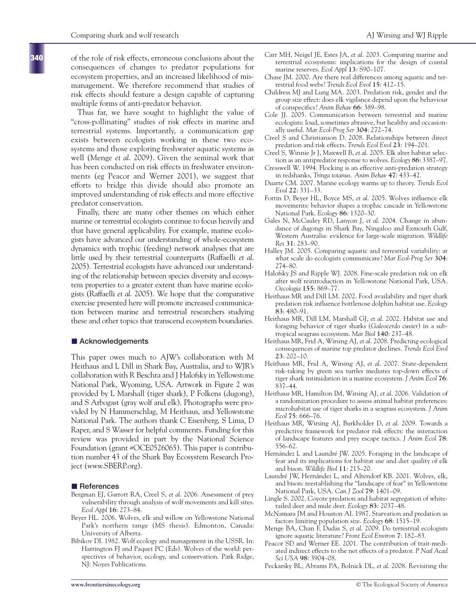of the role of risk effects, erroneous conclusions about the consequences of changes to predator populations for ecosystem properties, and an increased likelihood of mismanagement. We therefore recommend that studies of risk effects should feature a design capable of capturing multiple forms of anti-predator behavior.

Thus far, we have sought to highlight the value of "cross-pollinating" studies of risk effects in marine and terrestrial systems. Importantly, a communication gap exists between ecologists working in these two ecosystems and those exploring freshwater aquatic systems as well (Menge *et al*. 2009). Given the seminal work that has been conducted on risk effects in freshwater environments (eg Peacor and Werner 2001), we suggest that efforts to bridge this divide should also promote an improved understanding of risk effects and more effective predator conservation.

Finally, there are many other themes on which either marine or terrestrial ecologists continue to focus heavily and that have general applicability. For example, marine ecologists have advanced our understanding of whole-ecosystem dynamics with trophic (feeding) network analyses that are little used by their terrestrial counterparts (Raffaelli *et al*. 2005). Terrestrial ecologists have advanced our understanding of the relationship between species diversity and ecosystem properties to a greater extent than have marine ecologists (Raffaelli *et al*. 2005). We hope that the comparative exercise presented here will promote increased communication between marine and terrestrial researchers studying these and other topics that transcend ecosystem boundaries.

#### $\blacksquare$  **Acknowledgements**

This paper owes much to AJW's collaboration with M Heithaus and L Dill in Shark Bay, Australia, and to WJR's collaboration with R Beschta and J Halofsky in Yellowstone National Park, Wyoming, USA. Artwork in Figure 2 was provided by L Marshall (tiger shark), P Folkens (dugong), and S Arbogast (gray wolf and elk). Photographs were provided by N Hammerschlag, M Heithaus, and Yellowstone National Park. The authors thank C Eisenberg, S Lima, D Raper, and S Wasser for helpful comments. Funding for this review was provided in part by the National Science Foundation (grant #OCE0526065). This paper is contribution number 43 of the Shark Bay Ecosystem Research Project (www.SBERP.org).

#### ■ References

- Bergman EJ, Garrott RA, Creel S, *et al*. 2006. Assessment of prey vulnerability through analysis of wolf movements and kill sites. *Ecol Appl* **16**: 273–84.
- Beyer HL. 2006. Wolves, elk and willow on Yellowstone National Park's northern range (MS thesis). Edmonton, Canada: University of Alberta.
- Bibikov DI. 1982. Wolf ecology and management in the USSR. In: Harrington FJ and Paquet PC (Eds). Wolves of the world: perspectives of behavior, ecology, and conservation. Park Ridge, NJ: Noyes Publications.
- Carr MH, Neigel JE, Estes JA, *et al*. 2003. Comparing marine and terrestrial ecosystems: implications for the design of coastal marine reserves. *Ecol Appl* **13**: S90–107.
- Chase JM. 2000. Are there real differences among aquatic and terrestrial food webs? *Trends Ecol Evol* **15**: 412–15.
- Childress MJ and Lung MA. 2003. Predation risk, gender and the group size effect: does elk vigilance depend upon the behaviour of conspecifics? *Anim Behav* **66**: 389–98.
- Cole JJ. 2005. Communication between terrestrial and marine ecologists: loud, sometimes abrasive, but healthy and occasionally useful. *Mar Ecol-Prog Ser* **304**: 272–74.
- Creel S and Christianson D. 2008. Relationships between direct predation and risk effects. *Trends Ecol Evol* **23**: 194–201.
- Creel S, Winnie Jr J, Maxwell B, *et al*. 2005. Elk alter habitat selection as an antipredator response to wolves. *Ecology* **86**: 3387–97.
- Cresswell W. 1994. Flocking is an effective anti-predation strategy in redshanks, *Tringa totanus. Anim Behav* **47**: 433–42.
- Duarte CM. 2007. Marine ecology warms up to theory. *Trends Ecol Evol* **22**: 331–33.
- Fortin D, Beyer HL, Boyce MS, *et al*. 2005. Wolves influence elk movements: behavior shapes a trophic cascade in Yellowstone National Park. *Ecology* **86**: 1320–30.
- Gales N, McCauley RD, Lanyon J, *et al*. 2004. Change in abundance of dugongs in Shark Bay, Ningaloo and Exmouth Gulf, Western Australia: evidence for large-scale migration. *Wildlife Res* **31**: 283–90.
- Halley JM. 2005. Comparing aquatic and terrestrial variability: at what scale do ecologists communicate? *Mar Ecol-Prog Ser* **304**: 274–80.
- Halofsky JS and Ripple WJ. 2008. Fine-scale predation risk on elk after wolf reintroduction in Yellowstone National Park, USA. *Oecologia* **155**: 869–77.
- Heithaus MR and Dill LM. 2002. Food availability and tiger shark predation risk influence bottlenose dolphin habitat use. *Ecology* **83**: 480–91.
- Heithaus MR, Dill LM, Marshall GJ, *et al*. 2002. Habitat use and foraging behavior of tiger sharks (*Galeocerdo cuvier*) in a subtropical seagrass ecosystem. *Mar Biol* **140**: 237–48.
- Heithaus MR, Frid A, Wirsing AJ, *et al*. 2008. Predicting ecological consequences of marine top predator declines. *Trends Ecol Evol* **23**: 202–10.
- Heithaus MR, Frid A, Wirsing AJ, *et al*. 2007. State-dependent risk-taking by green sea turtles mediates top-down effects of tiger shark intimidation in a marine ecosystem. *J Anim Ecol* **76**: 837–44.
- Heithaus MR, Hamilton IM, Wirsing AJ, *et al*. 2006. Validation of a randomization procedure to assess animal habitat preferences: microhabitat use of tiger sharks in a seagrass ecosystem. *J Anim Ecol* **75**: 666–76.
- Heithaus MR, Wirsing AJ, Burkholder D, *et al*. 2009. Towards a predictive framework for predator risk effects: the interaction of landscape features and prey escape tactics. *J Anim Ecol* **78**: 556–62.
- Hernández L and Laundré JW. 2005. Foraging in the landscape of fear and its implications for habitat use and diet quality of elk and bison. *Wildlife Biol* **11**: 215–20.
- Laundré JW, Hernández L, and Altendorf KB. 2001. Wolves, elk, and bison: reestablishing the "landscape of fear" in Yellowstone National Park, USA. *Can J Zool* **79**: 1401–09.
- Lingle S. 2002. Coyote predation and habitat segregation of whitetailed deer and mule deer. *Ecology* **83**: 2037–48.
- McNamara JM and Houston AI. 1987. Starvation and predation as factors limiting population size. *Ecology* **68**: 1515–19.
- Menge BA, Chan F, Dudas S, *et al*. 2009. Do terrestrial ecologists ignore aquatic literature? *Front Ecol Environ* **7**: 182–83.
- Peacor SD and Werner EE. 2001. The contribution of trait-mediated indirect effects to the net effects of a predator. *P Natl Acad Sci USA* **98**: 3904–08.
- Peckarsky BL, Abrams PA, Bolnick DL, *et al*. 2008. Revisiting the